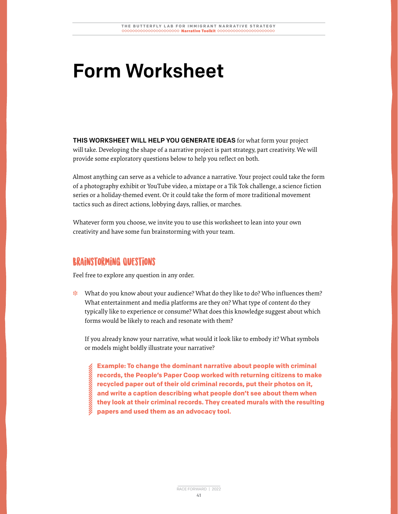## Form Worksheet

THIS WORKSHEET WILL HELP YOU GENERATE IDEAS for what form your project will take. Developing the shape of a narrative project is part strategy, part creativity. We will provide some exploratory questions below to help you reflect on both.

Almost anything can serve as a vehicle to advance a narrative. Your project could take the form of a photography exhibit or YouTube video, a mixtape or a Tik Tok challenge, a science fiction series or a holiday-themed event. Or it could take the form of more traditional movement tactics such as direct actions, lobbying days, rallies, or marches.

Whatever form you choose, we invite you to use this worksheet to lean into your own creativity and have some fun brainstorming with your team.

## Brainstorming Questions:

Feel free to explore any question in any order.

❉ What do you know about your audience? What do they like to do? Who influences them? What entertainment and media platforms are they on? What type of content do they typically like to experience or consume? What does this knowledge suggest about which forms would be likely to reach and resonate with them?

If you already know your narrative, what would it look like to embody it? What symbols or models might boldly illustrate your narrative?

**Example: To change the dominant narrative about people with criminal records, the People's Paper Coop worked with returning citizens to make recycled paper out of their old criminal records, put their photos on it, and write a caption describing what people don't see about them when they look at their criminal records. They created murals with the resulting papers and used them as an advocacy tool.**